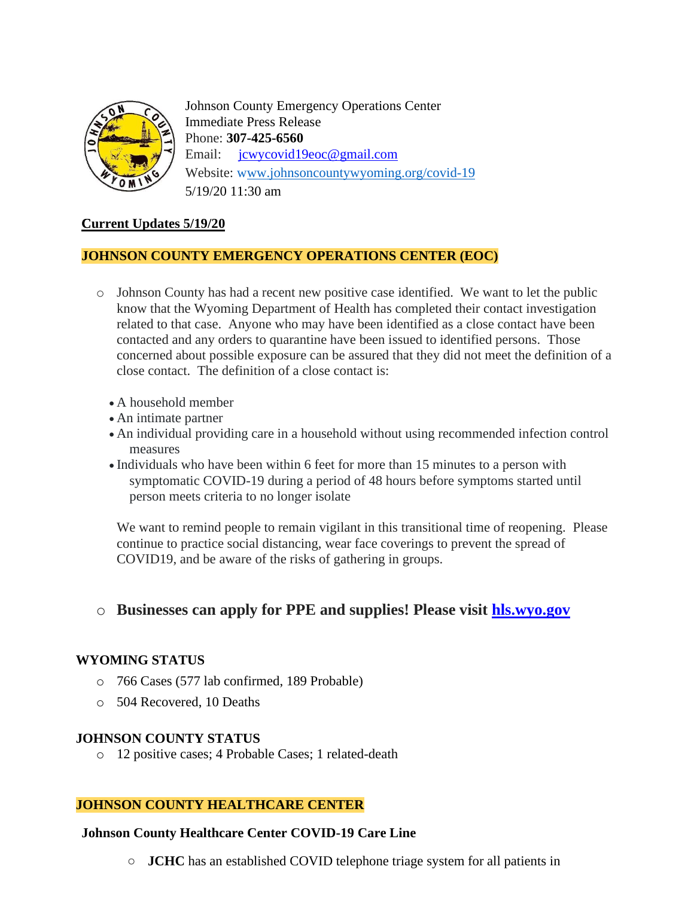

Johnson County Emergency Operations Center Immediate Press Release Phone: **307-425-6560** Email: [jcwycovid19eoc@gmail.com](mailto:jcwycovid19eoc@gmail.com) Website: [www.johnsoncountywyoming.org/covid-19](http://www.johnsoncountywyoming.org/covid-19) 5/19/20 11:30 am

## **Current Updates 5/19/20**

#### **JOHNSON COUNTY EMERGENCY OPERATIONS CENTER (EOC)**

- o Johnson County has had a recent new positive case identified. We want to let the public know that the Wyoming Department of Health has completed their contact investigation related to that case. Anyone who may have been identified as a close contact have been contacted and any orders to quarantine have been issued to identified persons. Those concerned about possible exposure can be assured that they did not meet the definition of a close contact. The definition of a close contact is:
	- A household member
	- An intimate partner
	- An individual providing care in a household without using recommended infection control measures
	- Individuals who have been within 6 feet for more than 15 minutes to a person with symptomatic COVID-19 during a period of 48 hours before symptoms started until person meets criteria to no longer isolate

We want to remind people to remain vigilant in this transitional time of reopening. Please continue to practice social distancing, wear face coverings to prevent the spread of COVID19, and be aware of the risks of gathering in groups.

# o **Businesses can apply for PPE and supplies! Please visit hls.wyo.gov**

### **WYOMING STATUS**

- o 766 Cases (577 lab confirmed, 189 Probable)
- o 504 Recovered, 10 Deaths

#### **JOHNSON COUNTY STATUS**

o 12 positive cases; 4 Probable Cases; 1 related-death

#### **JOHNSON COUNTY HEALTHCARE CENTER**

#### **Johnson County Healthcare Center COVID-19 Care Line**

**○ JCHC** has an established COVID telephone triage system for all patients in